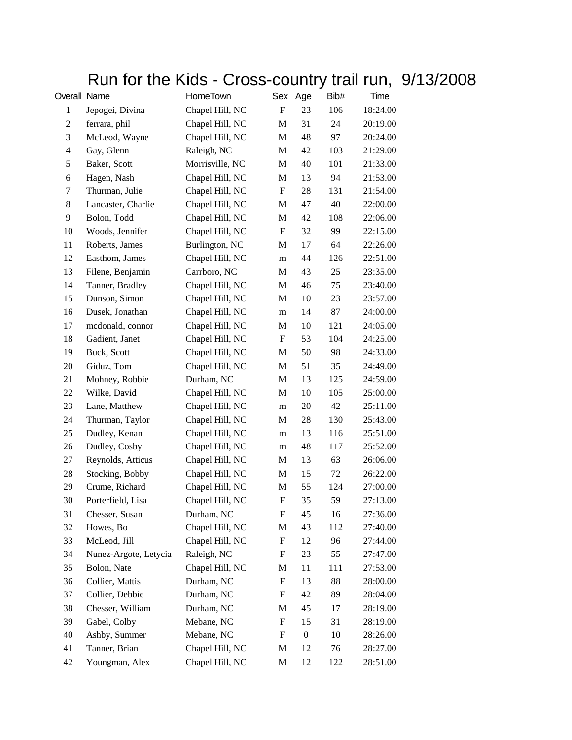## Run for the Kids - Cross-country trail run, 9/13/2008

| Overall Name   |                       | HomeTown        | Sex                       | Age              | Bib# | Time     |
|----------------|-----------------------|-----------------|---------------------------|------------------|------|----------|
| $\mathbf{1}$   | Jepogei, Divina       | Chapel Hill, NC | F                         | 23               | 106  | 18:24.00 |
| $\overline{c}$ | ferrara, phil         | Chapel Hill, NC | M                         | 31               | 24   | 20:19.00 |
| 3              | McLeod, Wayne         | Chapel Hill, NC | M                         | 48               | 97   | 20:24.00 |
| $\overline{4}$ | Gay, Glenn            | Raleigh, NC     | M                         | 42               | 103  | 21:29.00 |
| 5              | Baker, Scott          | Morrisville, NC | M                         | 40               | 101  | 21:33.00 |
| 6              | Hagen, Nash           | Chapel Hill, NC | M                         | 13               | 94   | 21:53.00 |
| 7              | Thurman, Julie        | Chapel Hill, NC | $\boldsymbol{\mathrm{F}}$ | 28               | 131  | 21:54.00 |
| 8              | Lancaster, Charlie    | Chapel Hill, NC | M                         | 47               | 40   | 22:00.00 |
| 9              | Bolon, Todd           | Chapel Hill, NC | M                         | 42               | 108  | 22:06.00 |
| 10             | Woods, Jennifer       | Chapel Hill, NC | F                         | 32               | 99   | 22:15.00 |
| 11             | Roberts, James        | Burlington, NC  | M                         | 17               | 64   | 22:26.00 |
| 12             | Easthom, James        | Chapel Hill, NC | m                         | 44               | 126  | 22:51.00 |
| 13             | Filene, Benjamin      | Carrboro, NC    | M                         | 43               | 25   | 23:35.00 |
| 14             | Tanner, Bradley       | Chapel Hill, NC | M                         | 46               | 75   | 23:40.00 |
| 15             | Dunson, Simon         | Chapel Hill, NC | M                         | 10               | 23   | 23:57.00 |
| 16             | Dusek, Jonathan       | Chapel Hill, NC | m                         | 14               | 87   | 24:00.00 |
| 17             | mcdonald, connor      | Chapel Hill, NC | M                         | 10               | 121  | 24:05.00 |
| 18             | Gadient, Janet        | Chapel Hill, NC | F                         | 53               | 104  | 24:25.00 |
| 19             | Buck, Scott           | Chapel Hill, NC | M                         | 50               | 98   | 24:33.00 |
| 20             | Giduz, Tom            | Chapel Hill, NC | M                         | 51               | 35   | 24:49.00 |
| 21             | Mohney, Robbie        | Durham, NC      | M                         | 13               | 125  | 24:59.00 |
| 22             | Wilke, David          | Chapel Hill, NC | M                         | 10               | 105  | 25:00.00 |
| 23             | Lane, Matthew         | Chapel Hill, NC | m                         | 20               | 42   | 25:11.00 |
| 24             | Thurman, Taylor       | Chapel Hill, NC | M                         | 28               | 130  | 25:43.00 |
| 25             | Dudley, Kenan         | Chapel Hill, NC | m                         | 13               | 116  | 25:51.00 |
| 26             | Dudley, Cosby         | Chapel Hill, NC | m                         | 48               | 117  | 25:52.00 |
| 27             | Reynolds, Atticus     | Chapel Hill, NC | M                         | 13               | 63   | 26:06.00 |
| 28             | Stocking, Bobby       | Chapel Hill, NC | M                         | 15               | 72   | 26:22.00 |
| 29             | Crume, Richard        | Chapel Hill, NC | M                         | 55               | 124  | 27:00.00 |
| 30             | Porterfield, Lisa     | Chapel Hill, NC | F                         | 35               | 59   | 27:13.00 |
| 31             | Chesser, Susan        | Durham, NC      | F                         | 45               | 16   | 27:36.00 |
| 32             | Howes, Bo             | Chapel Hill, NC | M                         | 43               | 112  | 27:40.00 |
| 33             | McLeod, Jill          | Chapel Hill, NC | F                         | 12               | 96   | 27:44.00 |
| 34             | Nunez-Argote, Letycia | Raleigh, NC     | F                         | 23               | 55   | 27:47.00 |
| 35             | Bolon, Nate           | Chapel Hill, NC | M                         | 11               | 111  | 27:53.00 |
| 36             | Collier, Mattis       | Durham, NC      | F                         | 13               | 88   | 28:00.00 |
| 37             | Collier, Debbie       | Durham, NC      | F                         | 42               | 89   | 28:04.00 |
| 38             | Chesser, William      | Durham, NC      | M                         | 45               | 17   | 28:19.00 |
| 39             | Gabel, Colby          | Mebane, NC      | F                         | 15               | 31   | 28:19.00 |
| 40             | Ashby, Summer         | Mebane, NC      | F                         | $\boldsymbol{0}$ | 10   | 28:26.00 |
| 41             | Tanner, Brian         | Chapel Hill, NC | M                         | 12               | 76   | 28:27.00 |
| 42             | Youngman, Alex        | Chapel Hill, NC | M                         | 12               | 122  | 28:51.00 |